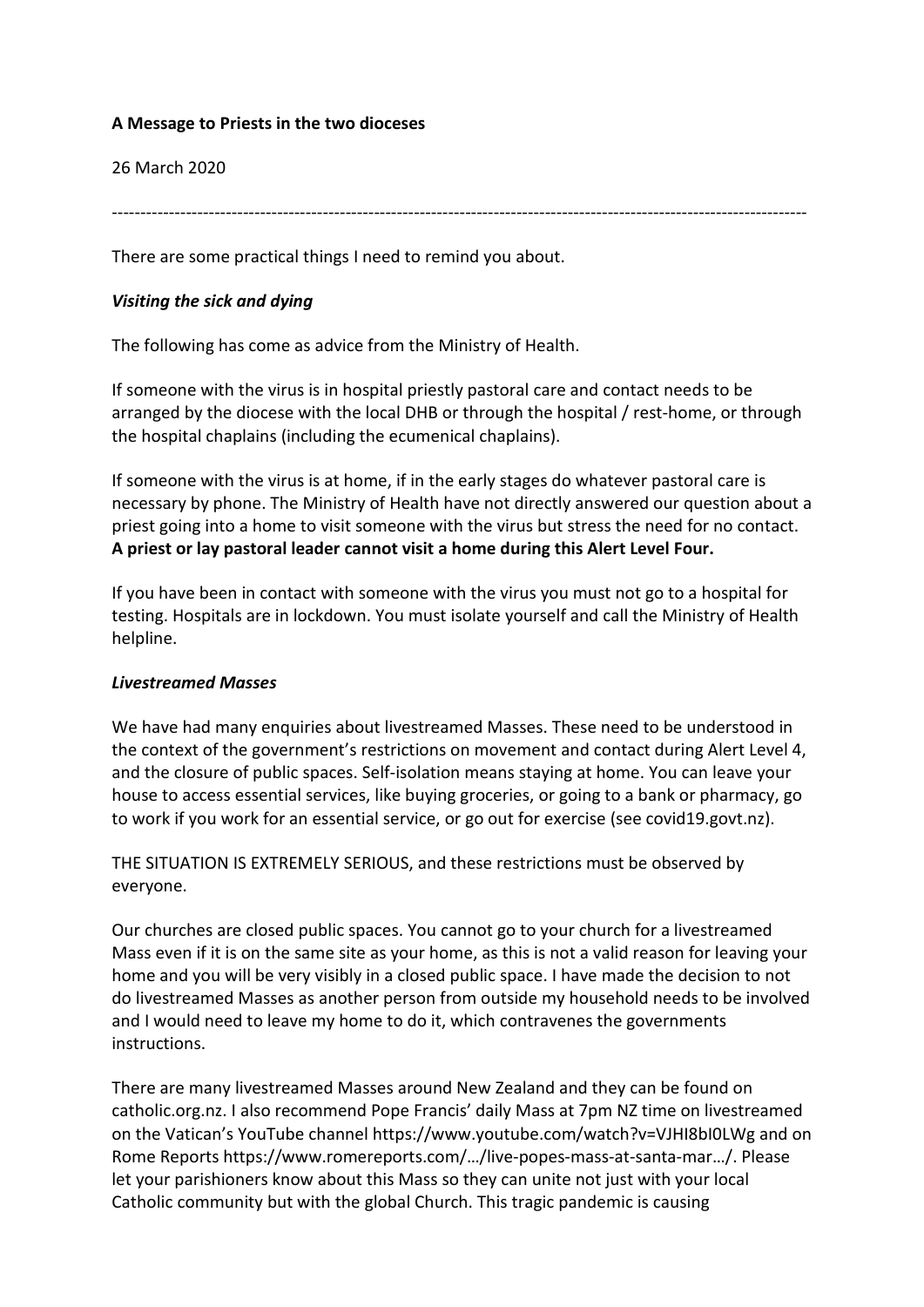# **A Message to Priests in the two dioceses**

#### 26 March 2020

--------------------------------------------------------------------------------------------------------------------------

There are some practical things I need to remind you about.

# *Visiting the sick and dying*

The following has come as advice from the Ministry of Health.

If someone with the virus is in hospital priestly pastoral care and contact needs to be arranged by the diocese with the local DHB or through the hospital / rest-home, or through the hospital chaplains (including the ecumenical chaplains).

If someone with the virus is at home, if in the early stages do whatever pastoral care is necessary by phone. The Ministry of Health have not directly answered our question about a priest going into a home to visit someone with the virus but stress the need for no contact. **A priest or lay pastoral leader cannot visit a home during this Alert Level Four.**

If you have been in contact with someone with the virus you must not go to a hospital for testing. Hospitals are in lockdown. You must isolate yourself and call the Ministry of Health helpline.

#### *Livestreamed Masses*

We have had many enquiries about livestreamed Masses. These need to be understood in the context of the government's restrictions on movement and contact during Alert Level 4, and the closure of public spaces. Self-isolation means staying at home. You can leave your house to access essential services, like buying groceries, or going to a bank or pharmacy, go to work if you work for an essential service, or go out for exercise (see covid19.govt.nz).

THE SITUATION IS EXTREMELY SERIOUS, and these restrictions must be observed by everyone.

Our churches are closed public spaces. You cannot go to your church for a livestreamed Mass even if it is on the same site as your home, as this is not a valid reason for leaving your home and you will be very visibly in a closed public space. I have made the decision to not do livestreamed Masses as another person from outside my household needs to be involved and I would need to leave my home to do it, which contravenes the governments instructions.

There are many livestreamed Masses around New Zealand and they can be found on catholic.org.nz. I also recommend Pope Francis' daily Mass at 7pm NZ time on livestreamed on the Vatican's YouTube channel https://www.youtube.com/watch?v=VJHI8bI0LWg and on Rome Reports https://www.romereports.com/…/live-popes-mass-at-santa-mar…/. Please let your parishioners know about this Mass so they can unite not just with your local Catholic community but with the global Church. This tragic pandemic is causing